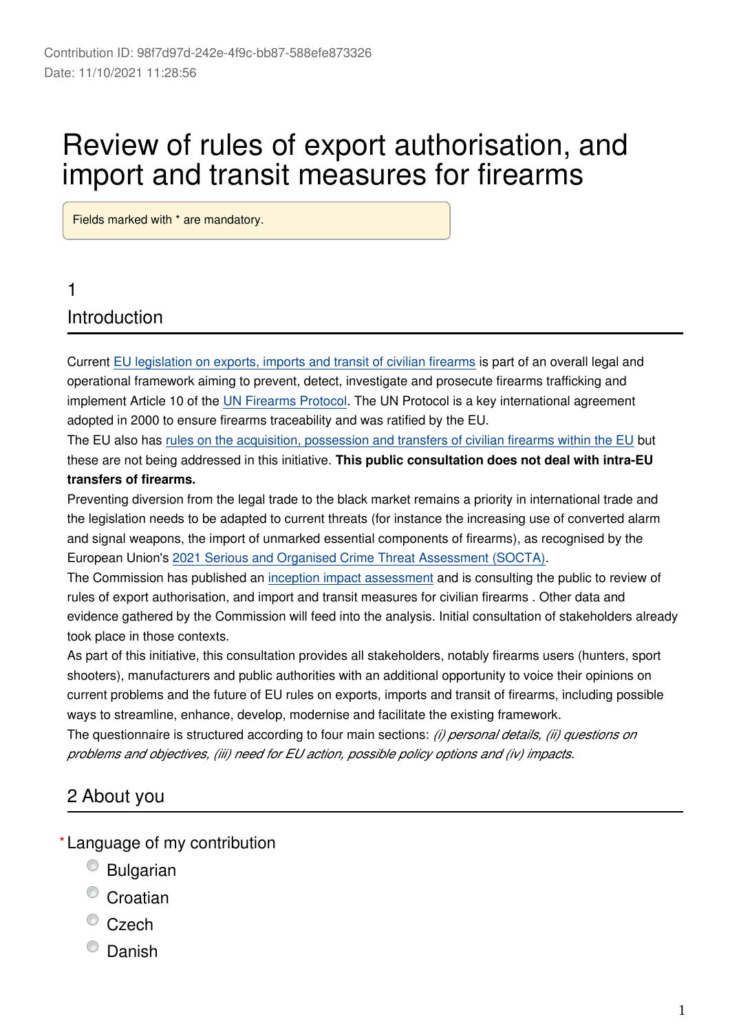# Review of rules of export authorisation, and import and transit measures for firearms

Fields marked with \* are mandatory.

# 1 **Introduction**

Current [EU legislation on exports, imports and transit of civilian firearms](https://eur-lex.europa.eu/legal-content/EN/TXT/?uri=CELEX%3A32012R0258) is part of an overall legal and operational framework aiming to prevent, detect, investigate and prosecute firearms trafficking and implement Article 10 of the [UN Firearms Protocol](https://www.unodc.org/documents/treaties/UNTOC/Publications/A-RES%2055-255/55r255e.pdf). The UN Protocol is a key international agreement adopted in 2000 to ensure firearms traceability and was ratified by the EU.

The EU also has [rules on the acquisition, possession and transfers of civilian firearms within the EU](https://eur-lex.europa.eu/legal-content/EN/TXT/HTML/?uri=CELEX:32021L0555) but these are not being addressed in this initiative. **This public consultation does not deal with intra-EU transfers of firearms.**

Preventing diversion from the legal trade to the black market remains a priority in international trade and the legislation needs to be adapted to current threats (for instance the increasing use of converted alarm and signal weapons, the import of unmarked essential components of firearms), as recognised by the European Union's [2021 Serious and Organised Crime Threat Assessment \(SOCTA\)](https://www.europol.europa.eu/sites/default/files/documents/socta2021_1.pdf).

The Commission has published an [inception impact assessment](https://ec.europa.eu/info/law/better-regulation/have-your-say/initiatives/12855-Firearms-review-of-export-rules-and-import-&-transit-measures_en) and is consulting the public to review of rules of export authorisation, and import and transit measures for civilian firearms . Other data and evidence gathered by the Commission will feed into the analysis. Initial consultation of stakeholders already took place in those contexts.

As part of this initiative, this consultation provides all stakeholders, notably firearms users (hunters, sport shooters), manufacturers and public authorities with an additional opportunity to voice their opinions on current problems and the future of EU rules on exports, imports and transit of firearms, including possible ways to streamline, enhance, develop, modernise and facilitate the existing framework.

The questionnaire is structured according to four main sections: *(i) personal details, (ii) questions on problems and objectives, (iii) need for EU action, possible policy options and (iv) impacts.*

# 2 About you

Language of my contribution **\***

- Bulgarian
- <sup>O</sup> Croatian
- $\degree$  Czech
- <sup>O</sup> Danish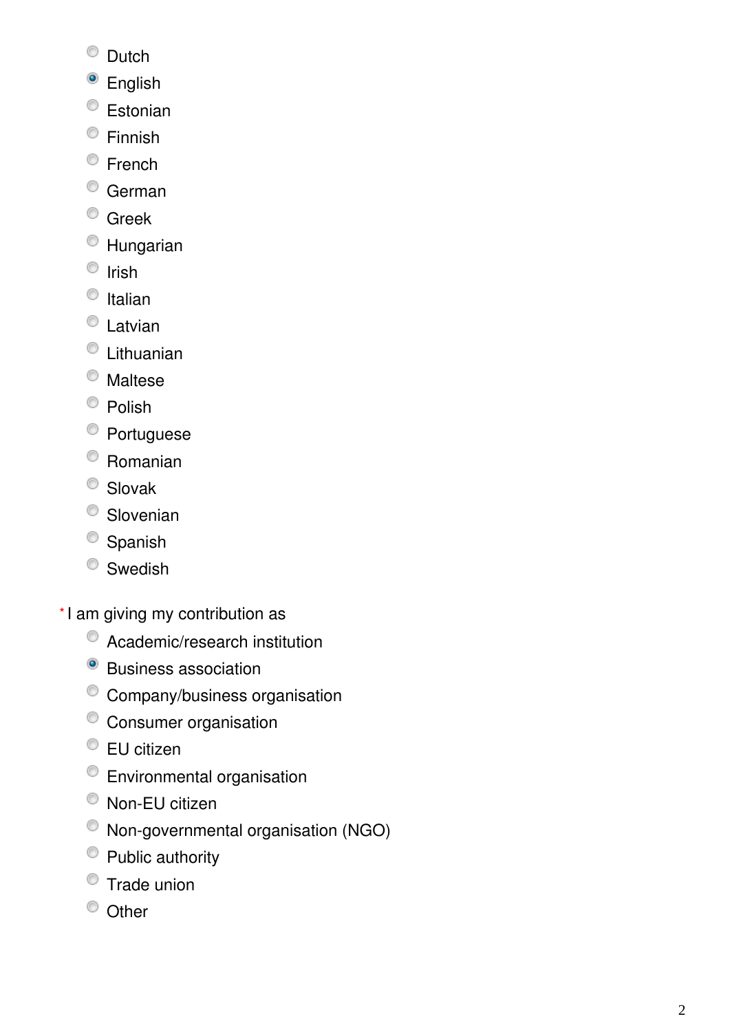- C Dutch
- <sup>o</sup> English
- Estonian
- Finnish
- <sup>©</sup> French
- <sup>O</sup> German
- <sup>O</sup> Greek
- Hungarian
- $\circ$  Irish
- $\bullet$  Italian
- <sup>O</sup> Latvian
- Lithuanian
- <sup>O</sup> Maltese
- <sup>O</sup> Polish
- <sup>o</sup> Portuguese
- Romanian
- <sup>O</sup> Slovak
- <sup>O</sup> Slovenian
- <sup>O</sup> Spanish
- Swedish
- \*I am giving my contribution as
	- Academic/research institution
	- <sup>o</sup> Business association
	- Company/business organisation
	- Consumer organisation
	- EU citizen
	- Environmental organisation
	- Non-EU citizen
	- Non-governmental organisation (NGO)
	- <sup>O</sup> Public authority
	- Trade union
	- <sup>O</sup> Other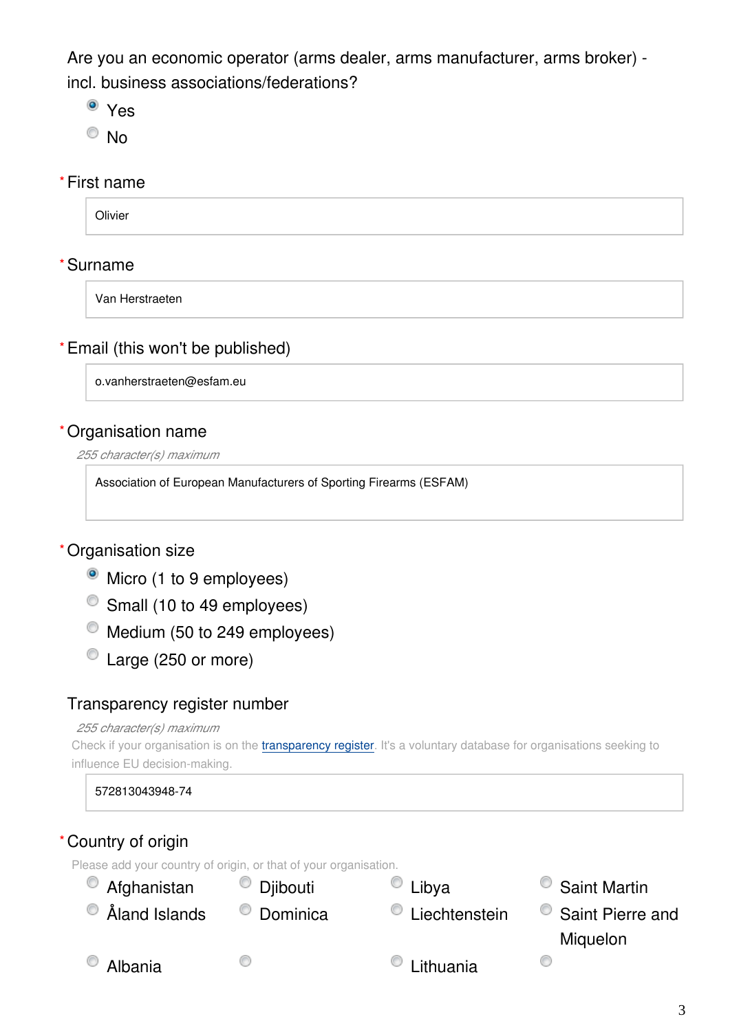Are you an economic operator (arms dealer, arms manufacturer, arms broker) incl. business associations/federations?

- Yes
- <sup>O</sup>No

#### First name **\***

**Olivier** 

## Surname **\***

Van Herstraeten

#### Email (this won't be published) **\***

o.vanherstraeten@esfam.eu

#### Organisation name **\***

*255 character(s) maximum*

Association of European Manufacturers of Sporting Firearms (ESFAM)

## Organisation size **\***

- Micro (1 to 9 employees)
- Small (10 to 49 employees)
- $^{\circ}$  Medium (50 to 249 employees)
- Large (250 or more)

#### Transparency register number

#### *255 character(s) maximum*

Check if your organisation is on the *[transparency register](http://ec.europa.eu/transparencyregister/public/homePage.do?redir=false&locale=en)*. It's a voluntary database for organisations seeking to influence EU decision-making.

572813043948-74

# Country of origin **\***

Please add your country of origin, or that of your organisation.

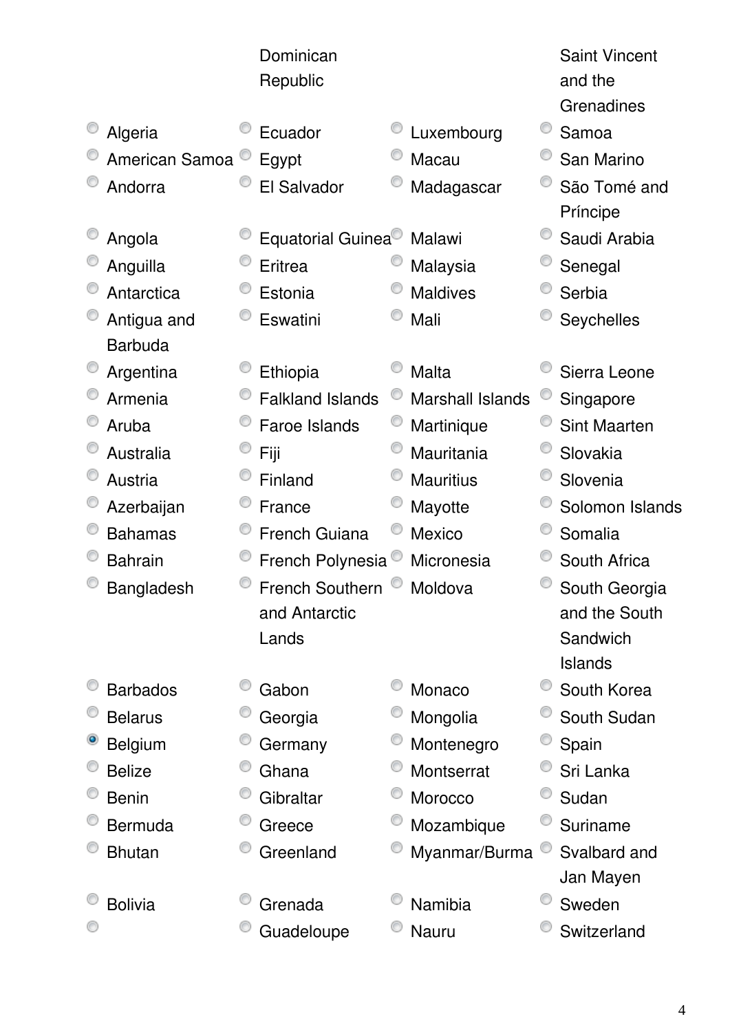|                 | Dominican<br>Republic   |                         | <b>Saint Vincent</b><br>and the<br>Grenadines |
|-----------------|-------------------------|-------------------------|-----------------------------------------------|
| Algeria         | Ecuador                 | Luxembourg              | Samoa                                         |
| American Samoa  | Egypt                   | Macau                   | San Marino                                    |
| Andorra         | El Salvador             | Madagascar              | São Tomé and                                  |
|                 |                         |                         | Príncipe                                      |
| Angola          | Equatorial Guinea       | Malawi                  | Saudi Arabia                                  |
| Anguilla        | Eritrea                 | Malaysia                | Senegal                                       |
| Antarctica      | Estonia                 | <b>Maldives</b>         | Serbia                                        |
| Antigua and     | Eswatini                | Mali                    | Seychelles                                    |
| <b>Barbuda</b>  |                         |                         |                                               |
| Argentina       | Ethiopia                | Malta                   | Sierra Leone                                  |
| Armenia         | <b>Falkland Islands</b> | <b>Marshall Islands</b> | Singapore                                     |
| Aruba           | Faroe Islands           | Martinique              | <b>Sint Maarten</b>                           |
| Australia       | Fiji                    | Mauritania              | Slovakia                                      |
| Austria         | Finland                 | <b>Mauritius</b>        | Slovenia                                      |
| Azerbaijan      | France                  | Mayotte                 | Solomon Islands                               |
| <b>Bahamas</b>  | <b>French Guiana</b>    | Mexico                  | Somalia                                       |
| <b>Bahrain</b>  | French Polynesia        | Micronesia              | South Africa                                  |
| Bangladesh      | French Southern Moldova |                         | South Georgia                                 |
|                 | and Antarctic           |                         | and the South                                 |
|                 | Lands                   |                         | Sandwich                                      |
|                 |                         |                         | Islands                                       |
| <b>Barbados</b> | Gabon                   | Monaco                  | South Korea                                   |
| <b>Belarus</b>  | Georgia                 | Mongolia                | South Sudan                                   |
| <b>Belgium</b>  | Germany                 | Montenegro              | Spain                                         |
| <b>Belize</b>   | Ghana                   | Montserrat              | Sri Lanka                                     |
| <b>Benin</b>    | Gibraltar               | Morocco                 | Sudan                                         |
| <b>Bermuda</b>  | Greece                  | Mozambique              | Suriname                                      |
| <b>Bhutan</b>   | Greenland               | Myanmar/Burma           | Svalbard and                                  |
|                 |                         |                         | Jan Mayen                                     |
| <b>Bolivia</b>  | Grenada                 | Namibia                 | Sweden                                        |
|                 | Guadeloupe              | Nauru                   | Switzerland                                   |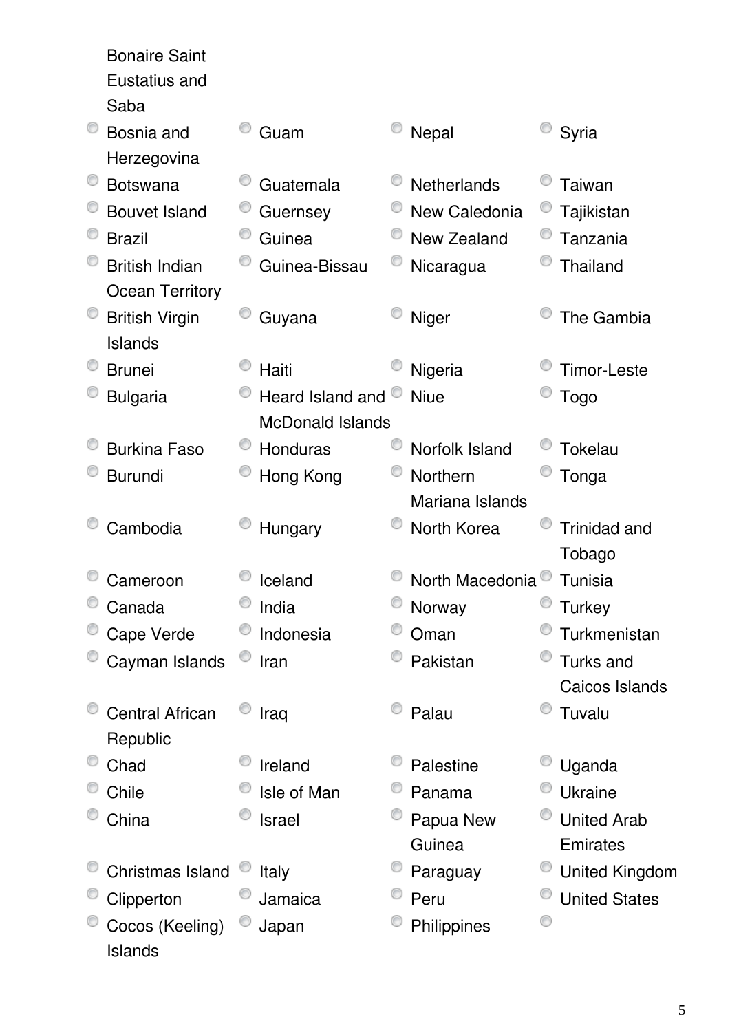Bonaire Saint Eustatius and Saba C Guam C Nepal C Syria Bosnia and Herzegovina C Botswana C Guatemala C Netherlands C Taiwan © Bouvet Island © Guernsey © New Caledonia © Tajikistan <sup>O</sup> Brazil Cauinea Context Brazil Caussia British Indian • Guinea-Bissau • Nicaragua • Thailand Ocean Territory **British Virgin** C Guyana C Niger C The Gambia Islands <sup>©</sup> Brunei <sup>©</sup> Haiti Digeria <sup>©</sup> Timor-Leste  $\bullet$  Togo • Bulgaria • • Heard Island and • Niue McDonald Islands <sup>©</sup> Burkina Faso  $\bullet$  Honduras  $\bullet$  Norfolk Island  $\bullet$  Tokelau <sup>O</sup> Burundi <sup>O</sup> Hong Kong <sup>O</sup> Northern Tonga Mariana Islands • Cambodia • Cambodia • Hungary • North Korea • Trinidad and Tobago <sup>©</sup> Cameroon <sup>©</sup> Iceland <sup>©</sup> North Macedonia <sup>©</sup> Tunisia Canada <sup>O</sup> India C Norway C Turkey Cape Verde <sup>C</sup> Indonesia C Oman C Turkmenistan • Cayman Islands • Iran **Pakistan** Pakistan **Pakistan** Pakistan Parks and Caicos Islands Central African C Iraq C Palau C Tuvalu Republic • Chad • Chad • Ireland • Palestine • Uganda Chile Cisle of Man C Panama C Ukraine China **Israel** Papua New United Arab **Guinea Emirates** • Christmas Island <sup>©</sup> Italy **C** Paraguay <sup>©</sup> United Kingdom Clipperton <sup>O</sup> Jamaica <sup>O</sup> Peru <sup>O</sup> United States <sup>O</sup> Japan <sup>O</sup> Philippines 0 Cocos (Keeling)

Islands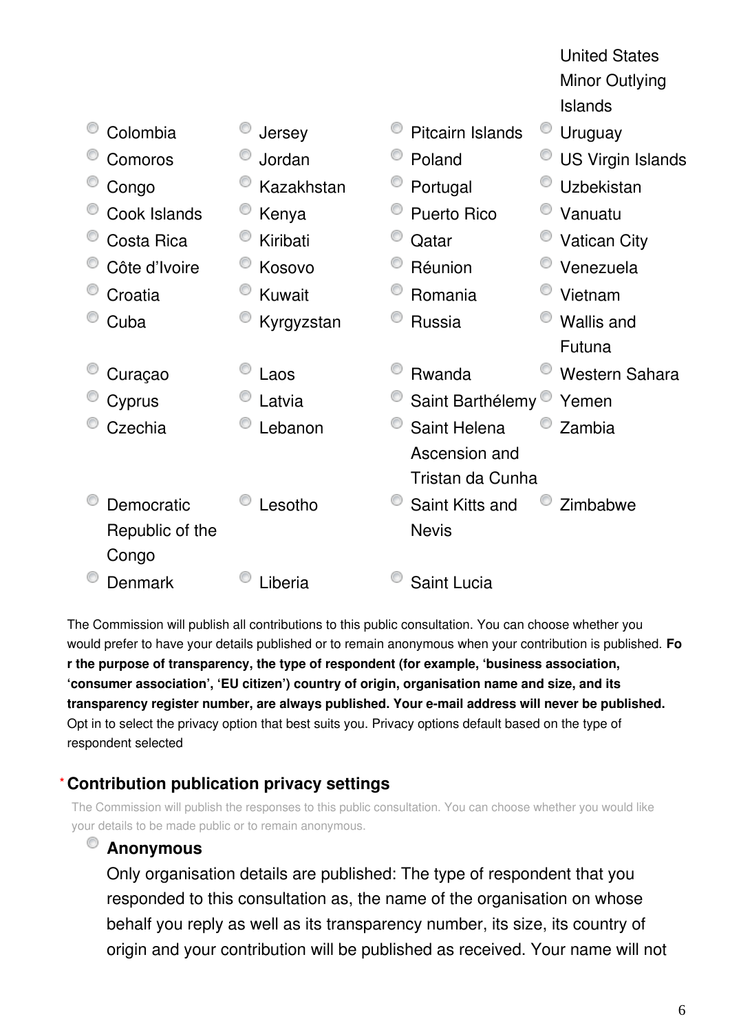|                 |            |                               | <b>United States</b>     |
|-----------------|------------|-------------------------------|--------------------------|
|                 |            |                               | <b>Minor Outlying</b>    |
|                 |            |                               | <b>Islands</b>           |
| Colombia        | Jersey     | <b>Pitcairn Islands</b>       | Uruguay                  |
| Comoros         | Jordan     | Poland                        | <b>US Virgin Islands</b> |
| Congo           | Kazakhstan | Portugal                      | Uzbekistan               |
| Cook Islands    | Kenya      | <b>Puerto Rico</b>            | Vanuatu                  |
| Costa Rica      | Kiribati   | Qatar                         | <b>Vatican City</b>      |
| Côte d'Ivoire   | Kosovo     | Réunion                       | Venezuela                |
| Croatia         | Kuwait     | Romania                       | Vietnam                  |
| Cuba            | Kyrgyzstan | <b>Russia</b>                 | <b>Wallis and</b>        |
|                 |            |                               | Futuna                   |
| Curaçao         | Laos       | <b>Rwanda</b>                 | <b>Western Sahara</b>    |
| Cyprus          | Latvia     | Saint Barthélemy <sup>®</sup> | Yemen                    |
| Czechia         | Lebanon    | Saint Helena                  | Zambia                   |
|                 |            | Ascension and                 |                          |
|                 |            | Tristan da Cunha              |                          |
| Democratic      | Lesotho    | Saint Kitts and               | Zimbabwe                 |
| Republic of the |            | <b>Nevis</b>                  |                          |
| Congo           |            |                               |                          |
| Denmark         | Liberia    | Saint Lucia                   |                          |

The Commission will publish all contributions to this public consultation. You can choose whether you would prefer to have your details published or to remain anonymous when your contribution is published. **Fo r the purpose of transparency, the type of respondent (for example, 'business association, 'consumer association', 'EU citizen') country of origin, organisation name and size, and its transparency register number, are always published. Your e-mail address will never be published.** Opt in to select the privacy option that best suits you. Privacy options default based on the type of respondent selected

#### **Contribution publication privacy settings \***

The Commission will publish the responses to this public consultation. You can choose whether you would like your details to be made public or to remain anonymous.

# **Anonymous**

Only organisation details are published: The type of respondent that you responded to this consultation as, the name of the organisation on whose behalf you reply as well as its transparency number, its size, its country of origin and your contribution will be published as received. Your name will not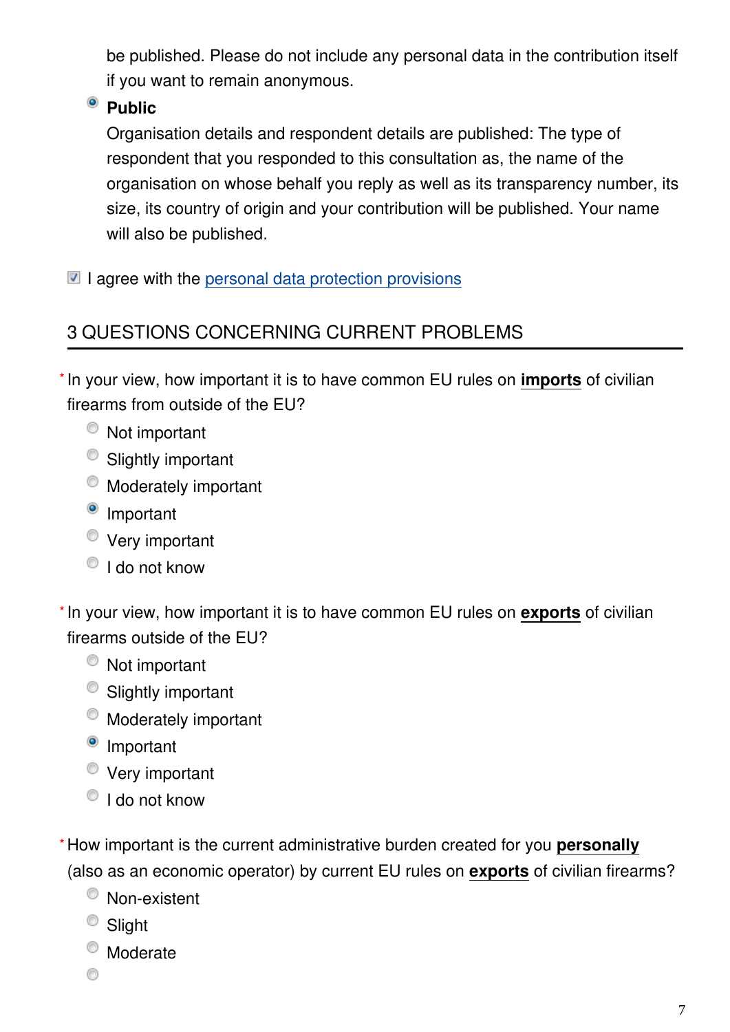be published. Please do not include any personal data in the contribution itself if you want to remain anonymous.

# <sup>o</sup> Public

Organisation details and respondent details are published: The type of respondent that you responded to this consultation as, the name of the organisation on whose behalf you reply as well as its transparency number, its size, its country of origin and your contribution will be published. Your name will also be published.

 $\blacksquare$  I agree with the [personal data protection provisions](https://ec.europa.eu/info/law/better-regulation/specific-privacy-statement)

# 3 QUESTIONS CONCERNING CURRENT PROBLEMS

\* In your view, how important it is to have common EU rules on *imports* of civilian firearms from outside of the EU?

- Not important
- Slightly important
- $\bullet$  Moderately important
- <sup>o</sup> Important
- Very important
- $\bullet$  I do not know

\* In your view, how important it is to have common EU rules on exports of civilian firearms outside of the EU?

- Not important
- Slightly important
- Moderately important
- <sup>o</sup> Important
- Very important
- <sup>O</sup> I do not know
- How important is the current administrative burden created for you **personally \***(also as an economic operator) by current EU rules on **exports** of civilian firearms?
	- <sup>O</sup> Non-existent
	- <sup>O</sup> Slight
	- Moderate
	- ◉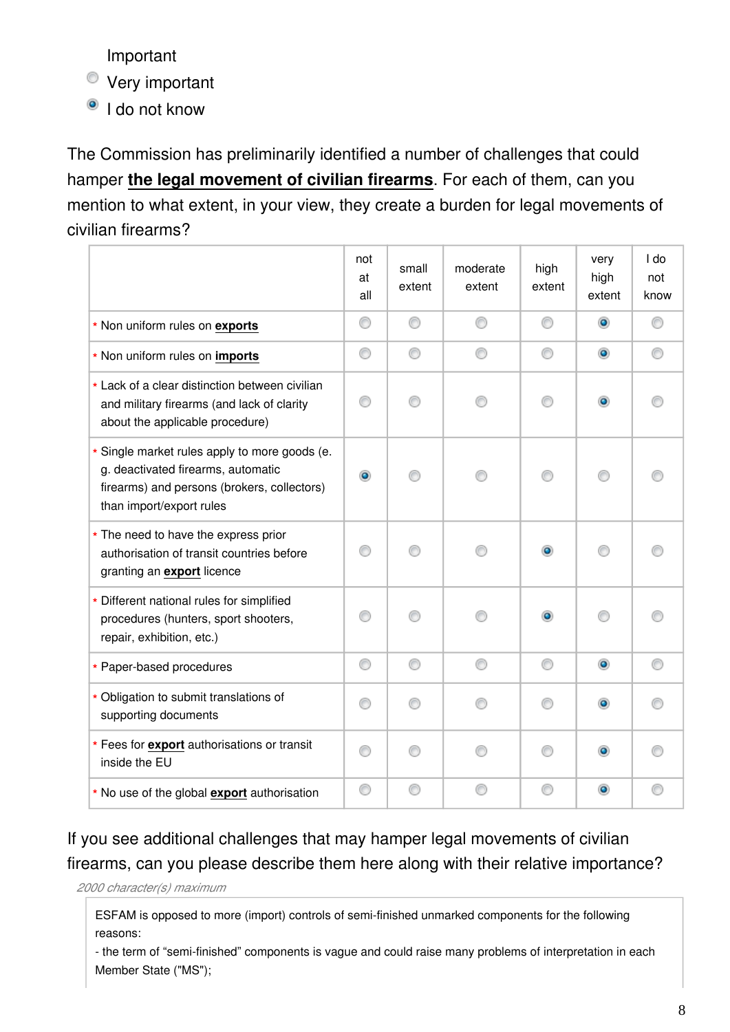Important

Very important

<sup>o</sup> I do not know

The Commission has preliminarily identified a number of challenges that could hamper **the legal movement of civilian firearms**. For each of them, can you mention to what extent, in your view, they create a burden for legal movements of civilian firearms?

|                                                                                                                                                                | not<br>at<br>all | small<br>extent | moderate<br>extent | high<br>extent | very<br>high<br>extent | I do<br>not<br>know |
|----------------------------------------------------------------------------------------------------------------------------------------------------------------|------------------|-----------------|--------------------|----------------|------------------------|---------------------|
| * Non uniform rules on exports                                                                                                                                 | ⊙                | ⊙               | ⊙                  | ⊙              | $\circledcirc$         | ∩                   |
| * Non uniform rules on imports                                                                                                                                 | 0                | ∩               |                    | ⊙              | $\bullet$              |                     |
| * Lack of a clear distinction between civilian<br>and military firearms (and lack of clarity<br>about the applicable procedure)                                | ⊙                |                 |                    | ∩              | $\circledcirc$         |                     |
| * Single market rules apply to more goods (e.<br>g. deactivated firearms, automatic<br>firearms) and persons (brokers, collectors)<br>than import/export rules | ۰                |                 |                    | ∩              | ⋒                      |                     |
| * The need to have the express prior<br>authorisation of transit countries before<br>granting an export licence                                                | ∩                |                 |                    | $\bullet$      | ⋒                      |                     |
| * Different national rules for simplified<br>procedures (hunters, sport shooters,<br>repair, exhibition, etc.)                                                 | ⊙                |                 |                    |                |                        |                     |
| * Paper-based procedures                                                                                                                                       | O                | ⊙               | ⊙                  | 0              | $\bullet$              |                     |
| * Obligation to submit translations of<br>supporting documents                                                                                                 | ⊙                | ⋒               |                    | ∩              | $\circledcirc$         |                     |
| * Fees for export authorisations or transit<br>inside the EU                                                                                                   | ∩                |                 |                    | ∩              | ۰                      |                     |
| * No use of the global export authorisation                                                                                                                    | ◎                |                 |                    | ⊙              | $\bullet$              |                     |

If you see additional challenges that may hamper legal movements of civilian firearms, can you please describe them here along with their relative importance?

*2000 character(s) maximum*

ESFAM is opposed to more (import) controls of semi-finished unmarked components for the following reasons:

- the term of "semi-finished" components is vague and could raise many problems of interpretation in each Member State ("MS");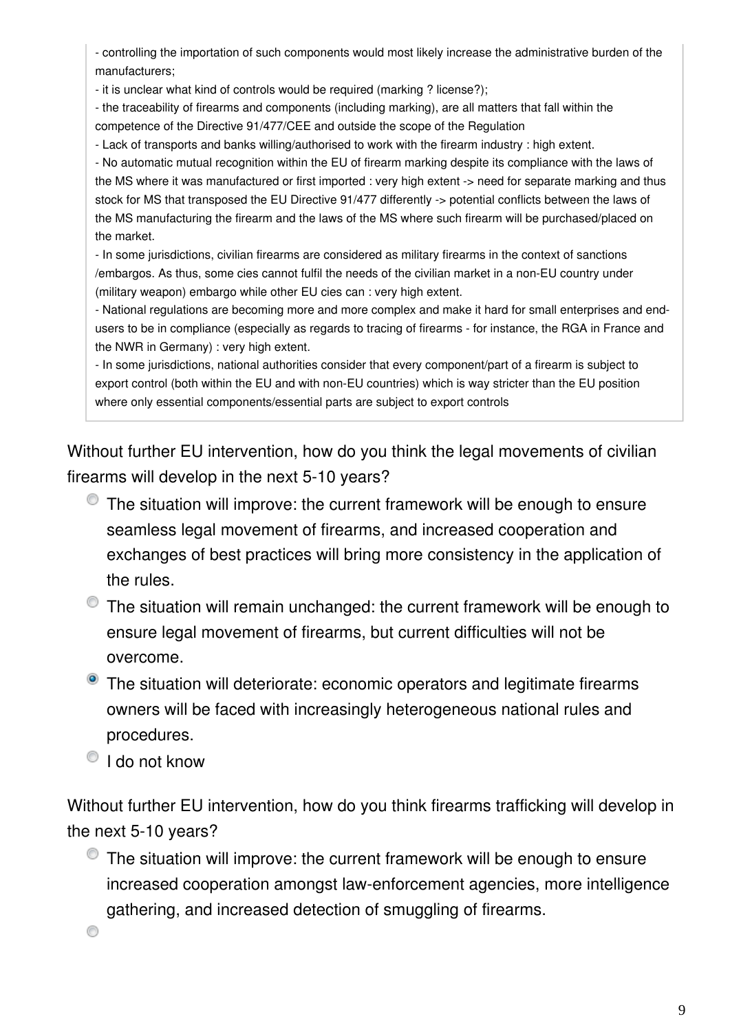- controlling the importation of such components would most likely increase the administrative burden of the manufacturers;

- it is unclear what kind of controls would be required (marking ? license?);

- the traceability of firearms and components (including marking), are all matters that fall within the competence of the Directive 91/477/CEE and outside the scope of the Regulation

- Lack of transports and banks willing/authorised to work with the firearm industry : high extent.

- No automatic mutual recognition within the EU of firearm marking despite its compliance with the laws of the MS where it was manufactured or first imported : very high extent -> need for separate marking and thus stock for MS that transposed the EU Directive 91/477 differently -> potential conflicts between the laws of the MS manufacturing the firearm and the laws of the MS where such firearm will be purchased/placed on the market.

- In some jurisdictions, civilian firearms are considered as military firearms in the context of sanctions /embargos. As thus, some cies cannot fulfil the needs of the civilian market in a non-EU country under (military weapon) embargo while other EU cies can : very high extent.

- National regulations are becoming more and more complex and make it hard for small enterprises and endusers to be in compliance (especially as regards to tracing of firearms - for instance, the RGA in France and the NWR in Germany) : very high extent.

- In some jurisdictions, national authorities consider that every component/part of a firearm is subject to export control (both within the EU and with non-EU countries) which is way stricter than the EU position where only essential components/essential parts are subject to export controls

Without further EU intervention, how do you think the legal movements of civilian firearms will develop in the next 5-10 years?

- $\bullet$  The situation will improve: the current framework will be enough to ensure seamless legal movement of firearms, and increased cooperation and exchanges of best practices will bring more consistency in the application of the rules.
- $\bullet$  The situation will remain unchanged: the current framework will be enough to ensure legal movement of firearms, but current difficulties will not be overcome.
- **•** The situation will deteriorate: economic operators and legitimate firearms owners will be faced with increasingly heterogeneous national rules and procedures.
- <sup>O</sup> I do not know

Without further EU intervention, how do you think firearms trafficking will develop in the next 5-10 years?

 $\bullet$  The situation will improve: the current framework will be enough to ensure increased cooperation amongst law-enforcement agencies, more intelligence gathering, and increased detection of smuggling of firearms.

0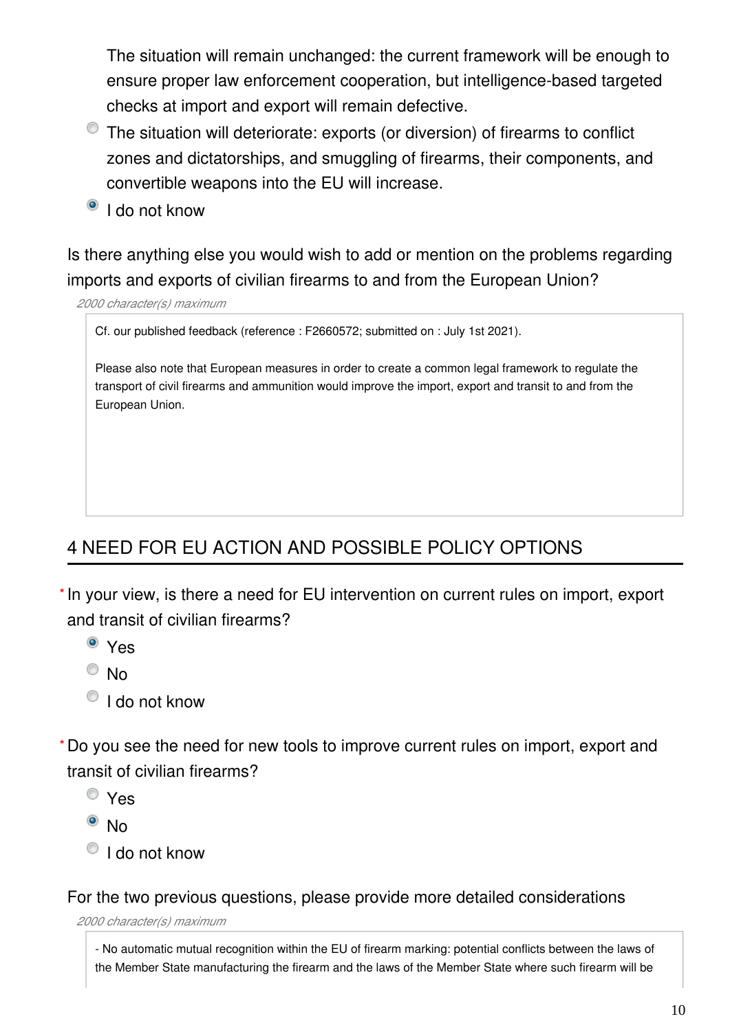The situation will remain unchanged: the current framework will be enough to ensure proper law enforcement cooperation, but intelligence-based targeted checks at import and export will remain defective.

- The situation will deteriorate: exports (or diversion) of firearms to conflict zones and dictatorships, and smuggling of firearms, their components, and convertible weapons into the EU will increase.
- <sup>o</sup> I do not know

Is there anything else you would wish to add or mention on the problems regarding imports and exports of civilian firearms to and from the European Union?

*2000 character(s) maximum*

Cf. our published feedback (reference : F2660572; submitted on : July 1st 2021).

Please also note that European measures in order to create a common legal framework to regulate the transport of civil firearms and ammunition would improve the import, export and transit to and from the European Union.

# 4 NEED FOR EU ACTION AND POSSIBLE POLICY OPTIONS

\* In your view, is there a need for EU intervention on current rules on import, export and transit of civilian firearms?

- Yes
- $\circ$  No
- $\bullet$  I do not know

Do you see the need for new tools to improve current rules on import, export and **\***transit of civilian firearms?

- Yes
- $\bullet$  No
- $\bigcirc$  I do not know

For the two previous questions, please provide more detailed considerations

*2000 character(s) maximum*

- No automatic mutual recognition within the EU of firearm marking: potential conflicts between the laws of the Member State manufacturing the firearm and the laws of the Member State where such firearm will be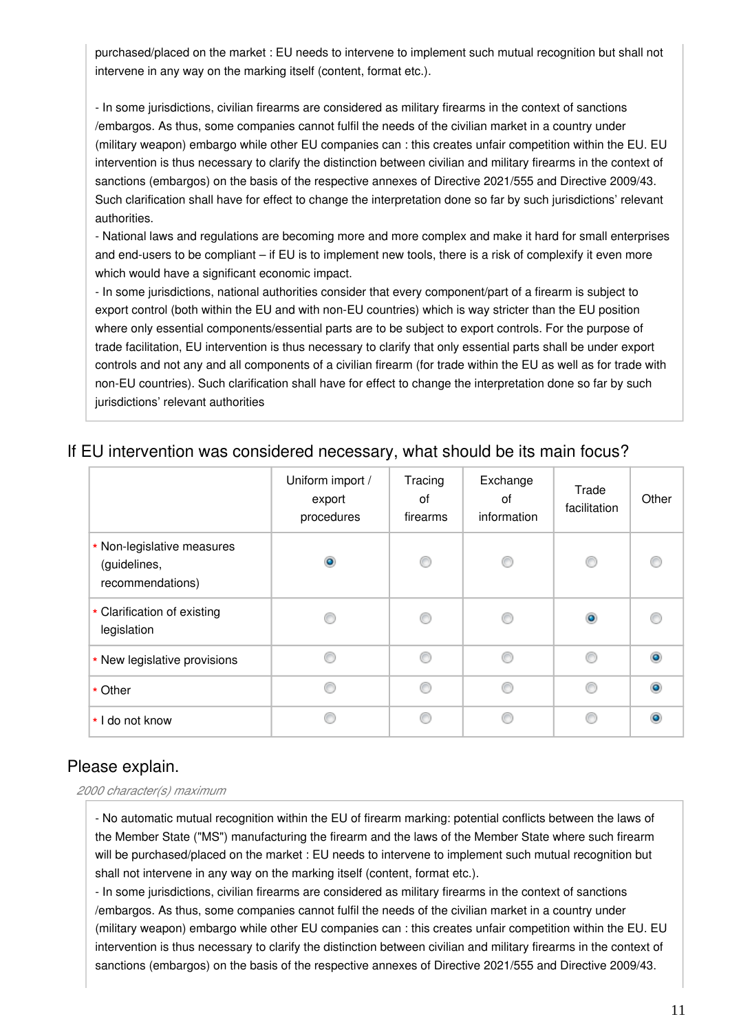purchased/placed on the market : EU needs to intervene to implement such mutual recognition but shall not intervene in any way on the marking itself (content, format etc.).

- In some jurisdictions, civilian firearms are considered as military firearms in the context of sanctions /embargos. As thus, some companies cannot fulfil the needs of the civilian market in a country under (military weapon) embargo while other EU companies can : this creates unfair competition within the EU. EU intervention is thus necessary to clarify the distinction between civilian and military firearms in the context of sanctions (embargos) on the basis of the respective annexes of Directive 2021/555 and Directive 2009/43. Such clarification shall have for effect to change the interpretation done so far by such jurisdictions' relevant authorities.

- National laws and regulations are becoming more and more complex and make it hard for small enterprises and end-users to be compliant – if EU is to implement new tools, there is a risk of complexify it even more which would have a significant economic impact.

- In some jurisdictions, national authorities consider that every component/part of a firearm is subject to export control (both within the EU and with non-EU countries) which is way stricter than the EU position where only essential components/essential parts are to be subject to export controls. For the purpose of trade facilitation, EU intervention is thus necessary to clarify that only essential parts shall be under export controls and not any and all components of a civilian firearm (for trade within the EU as well as for trade with non-EU countries). Such clarification shall have for effect to change the interpretation done so far by such jurisdictions' relevant authorities

|                                                                | Uniform import /<br>export<br>procedures | Tracing<br>οf<br>firearms | Exchange<br>0f<br>information | Trade<br>facilitation | Other |
|----------------------------------------------------------------|------------------------------------------|---------------------------|-------------------------------|-----------------------|-------|
| * Non-legislative measures<br>(guidelines,<br>recommendations) | $\bullet$                                | ⊙                         | €                             |                       |       |
| * Clarification of existing<br>legislation                     |                                          |                           | e                             |                       |       |
| * New legislative provisions                                   |                                          | ∩                         | C                             |                       |       |
| * Other                                                        | ⋒                                        | ⋒                         | ⋒                             |                       |       |
| * I do not know                                                |                                          |                           | e                             |                       |       |

## If EU intervention was considered necessary, what should be its main focus?

## Please explain.

*2000 character(s) maximum*

- No automatic mutual recognition within the EU of firearm marking: potential conflicts between the laws of the Member State ("MS") manufacturing the firearm and the laws of the Member State where such firearm will be purchased/placed on the market : EU needs to intervene to implement such mutual recognition but shall not intervene in any way on the marking itself (content, format etc.).

- In some jurisdictions, civilian firearms are considered as military firearms in the context of sanctions /embargos. As thus, some companies cannot fulfil the needs of the civilian market in a country under (military weapon) embargo while other EU companies can : this creates unfair competition within the EU. EU intervention is thus necessary to clarify the distinction between civilian and military firearms in the context of sanctions (embargos) on the basis of the respective annexes of Directive 2021/555 and Directive 2009/43.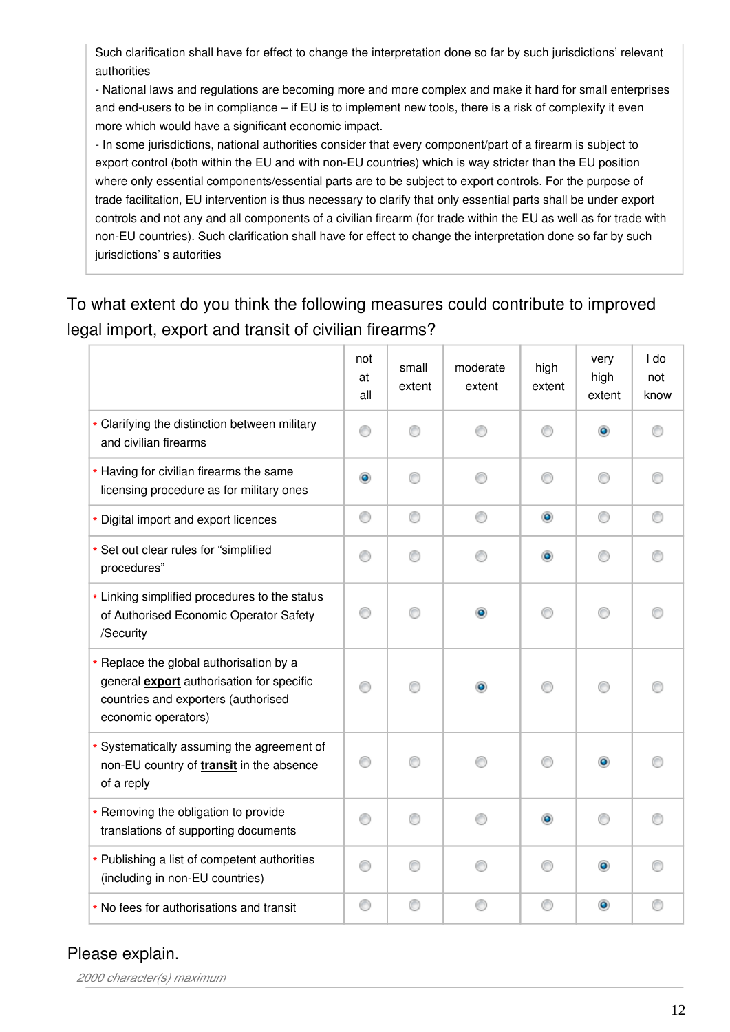Such clarification shall have for effect to change the interpretation done so far by such jurisdictions' relevant authorities

- National laws and regulations are becoming more and more complex and make it hard for small enterprises and end-users to be in compliance – if EU is to implement new tools, there is a risk of complexify it even more which would have a significant economic impact.

- In some jurisdictions, national authorities consider that every component/part of a firearm is subject to export control (both within the EU and with non-EU countries) which is way stricter than the EU position where only essential components/essential parts are to be subject to export controls. For the purpose of trade facilitation, EU intervention is thus necessary to clarify that only essential parts shall be under export controls and not any and all components of a civilian firearm (for trade within the EU as well as for trade with non-EU countries). Such clarification shall have for effect to change the interpretation done so far by such jurisdictions' s autorities

# To what extent do you think the following measures could contribute to improved legal import, export and transit of civilian firearms?

|                                                                                                                                                    | not<br>at<br>all | small<br>extent | moderate<br>extent | high<br>extent | very<br>high<br>extent | I do<br>not<br>know |
|----------------------------------------------------------------------------------------------------------------------------------------------------|------------------|-----------------|--------------------|----------------|------------------------|---------------------|
| * Clarifying the distinction between military<br>and civilian firearms                                                                             | ⊙                |                 | ∩                  | ⋒              | $\bullet$              |                     |
| * Having for civilian firearms the same<br>licensing procedure as for military ones                                                                | $\circledcirc$   | ∩               | ∩                  | ⋒              | ⋒                      |                     |
| * Digital import and export licences                                                                                                               | 0                | ◉               | ⊙                  | $\circledcirc$ | ⊙                      | ⊙                   |
| * Set out clear rules for "simplified<br>procedures"                                                                                               | ⊙                | ∩               | ∩                  | ۰              | ∩                      |                     |
| * Linking simplified procedures to the status<br>of Authorised Economic Operator Safety<br>/Security                                               | ⊙                | ∩               | ۰                  | ∩              | ⋒                      |                     |
| * Replace the global authorisation by a<br>general export authorisation for specific<br>countries and exporters (authorised<br>economic operators) | ⊙                |                 |                    |                |                        |                     |
| * Systematically assuming the agreement of<br>non-EU country of transit in the absence<br>of a reply                                               | ⊙                |                 |                    |                |                        |                     |
| * Removing the obligation to provide<br>translations of supporting documents                                                                       | ⊙                |                 | ∩                  | ۰              |                        |                     |
| * Publishing a list of competent authorities<br>(including in non-EU countries)                                                                    | ⊙                |                 | ⊙                  | ∩              |                        |                     |
| * No fees for authorisations and transit                                                                                                           | ⊙                | ⊙               | ⊙                  | ⊙              | $\bullet$              |                     |

## Please explain.

*2000 character(s) maximum*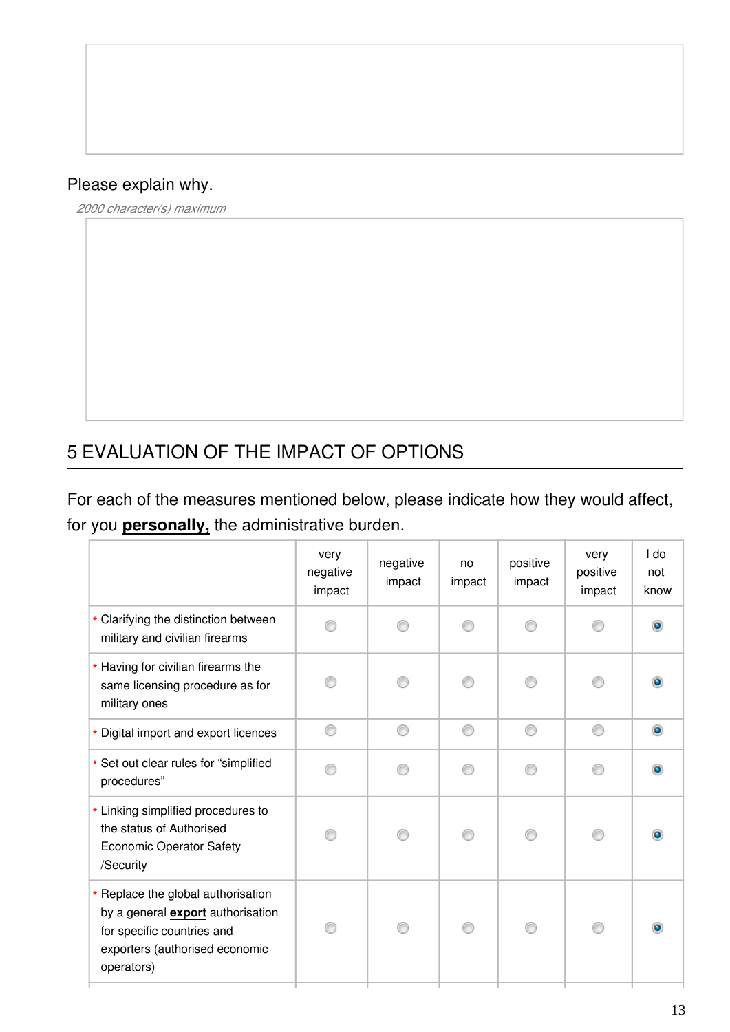# Please explain why.

*2000 character(s) maximum*

# 5 EVALUATION OF THE IMPACT OF OPTIONS

For each of the measures mentioned below, please indicate how they would affect, for you **personally,** the administrative burden.

|                                                                                                                                                       | very<br>negative<br>impact | negative<br>impact | no<br>impact | positive<br>impact | very<br>positive<br>impact | I do<br>not<br>know |
|-------------------------------------------------------------------------------------------------------------------------------------------------------|----------------------------|--------------------|--------------|--------------------|----------------------------|---------------------|
| * Clarifying the distinction between<br>military and civilian firearms                                                                                |                            |                    |              |                    |                            |                     |
| * Having for civilian firearms the<br>same licensing procedure as for<br>military ones                                                                |                            |                    |              |                    |                            |                     |
| * Digital import and export licences                                                                                                                  | ∩                          | ⋒                  | ⋒            | ⋒                  | ∩                          | $\bullet$           |
| * Set out clear rules for "simplified<br>procedures"                                                                                                  |                            |                    |              |                    |                            |                     |
| * Linking simplified procedures to<br>the status of Authorised<br><b>Economic Operator Safety</b><br>/Security                                        |                            |                    |              |                    |                            |                     |
| * Replace the global authorisation<br>by a general export authorisation<br>for specific countries and<br>exporters (authorised economic<br>operators) |                            |                    | ∩            |                    | ⋒                          |                     |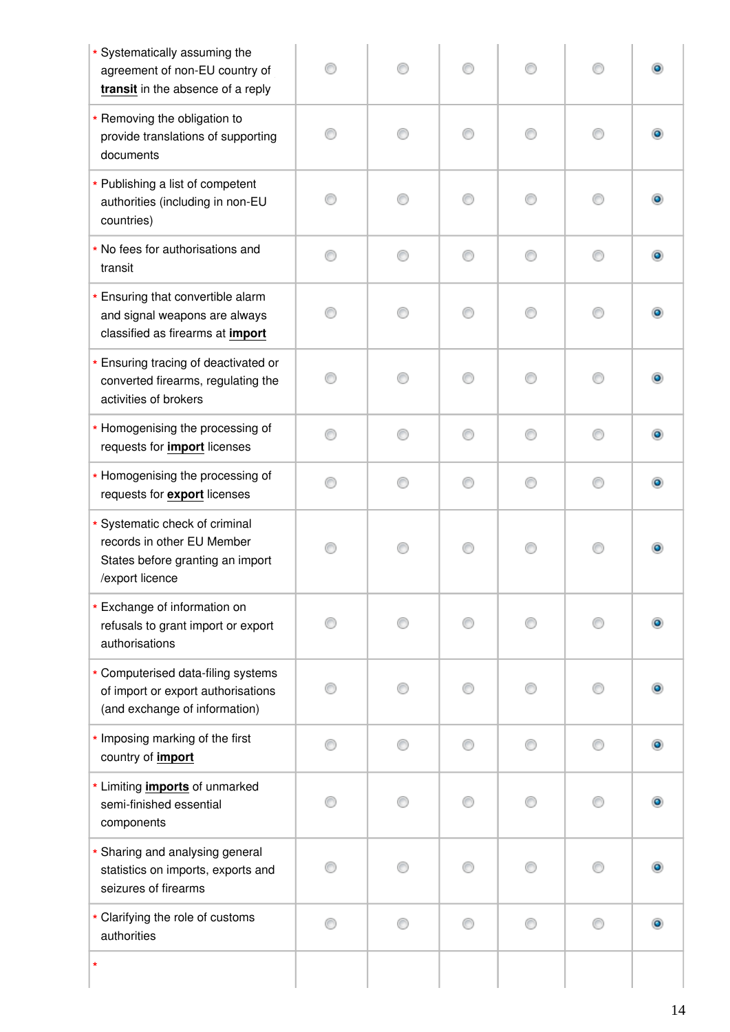| * Systematically assuming the<br>agreement of non-EU country of<br>transit in the absence of a reply                |   |    |   |   |   |   |
|---------------------------------------------------------------------------------------------------------------------|---|----|---|---|---|---|
| * Removing the obligation to<br>provide translations of supporting<br>documents                                     | ∩ | ⋒  | ∩ | ∩ | ∩ |   |
| * Publishing a list of competent<br>authorities (including in non-EU<br>countries)                                  |   |    |   | ⊙ | ∩ |   |
| * No fees for authorisations and<br>transit                                                                         | ∩ |    | ∩ | ⊙ | ∩ |   |
| * Ensuring that convertible alarm<br>and signal weapons are always<br>classified as firearms at import              |   |    |   |   |   |   |
| * Ensuring tracing of deactivated or<br>converted firearms, regulating the<br>activities of brokers                 |   |    |   |   |   |   |
| * Homogenising the processing of<br>requests for <i>import</i> licenses                                             | ∩ | ⋒  | ∩ | ∩ | ∩ |   |
| * Homogenising the processing of<br>requests for <b>export</b> licenses                                             |   | ⋒  | ∩ | ∩ | ⊙ |   |
| * Systematic check of criminal<br>records in other EU Member<br>States before granting an import<br>/export licence |   |    |   |   |   |   |
| * Exchange of information on<br>refusals to grant import or export<br>authorisations                                |   |    |   |   | ∩ |   |
| * Computerised data-filing systems<br>of import or export authorisations<br>(and exchange of information)           |   |    | ⋒ |   | 0 |   |
| * Imposing marking of the first<br>country of import                                                                | ∩ |    |   | ∩ | ⋒ | ۰ |
| * Limiting <i>imports</i> of unmarked<br>semi-finished essential<br>components                                      |   | 60 | ⋒ | ⊙ | ∩ |   |
| * Sharing and analysing general<br>statistics on imports, exports and<br>seizures of firearms                       |   |    |   |   |   |   |
| * Clarifying the role of customs<br>authorities                                                                     | ∩ | ∩  | ∩ | ⊙ | ∩ |   |
| $\star$                                                                                                             |   |    |   |   |   |   |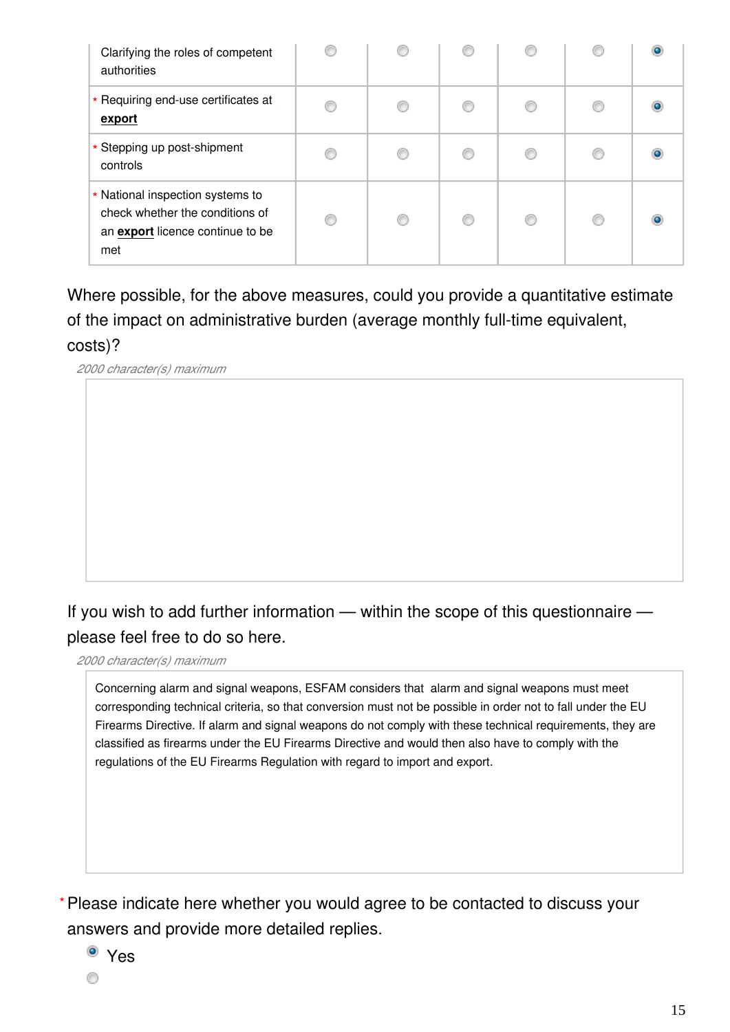| Clarifying the roles of competent<br>authorities                                                               |  |  |  |
|----------------------------------------------------------------------------------------------------------------|--|--|--|
| * Requiring end-use certificates at<br>export                                                                  |  |  |  |
| * Stepping up post-shipment<br>controls                                                                        |  |  |  |
| * National inspection systems to<br>check whether the conditions of<br>an export licence continue to be<br>met |  |  |  |

Where possible, for the above measures, could you provide a quantitative estimate of the impact on administrative burden (average monthly full-time equivalent, costs)?

*2000 character(s) maximum*

# If you wish to add further information — within the scope of this questionnaire please feel free to do so here.

*2000 character(s) maximum*

Concerning alarm and signal weapons, ESFAM considers that alarm and signal weapons must meet corresponding technical criteria, so that conversion must not be possible in order not to fall under the EU Firearms Directive. If alarm and signal weapons do not comply with these technical requirements, they are classified as firearms under the EU Firearms Directive and would then also have to comply with the regulations of the EU Firearms Regulation with regard to import and export.

Please indicate here whether you would agree to be contacted to discuss your **\***answers and provide more detailed replies.

Yes

0